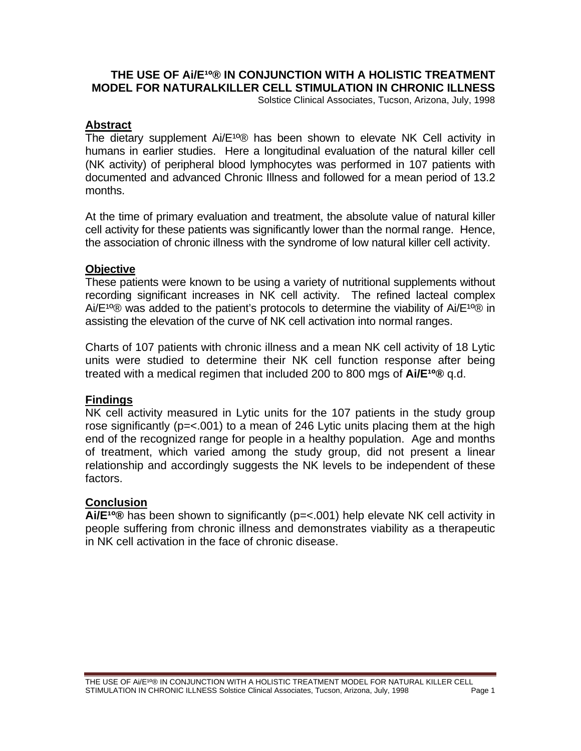### **THE USE OF AI/E<sup>10</sup>® IN CONJUNCTION WITH A HOLISTIC TREATMENT MODEL FOR NATURALKILLER CELL STIMULATION IN CHRONIC ILLNESS**

Solstice Clinical Associates, Tucson, Arizona, July, 1998

#### **Abstract**

The dietary supplement  $Ai/E^{10}$ ® has been shown to elevate NK Cell activity in humans in earlier studies. Here a longitudinal evaluation of the natural killer cell (NK activity) of peripheral blood lymphocytes was performed in 107 patients with documented and advanced Chronic Illness and followed for a mean period of 13.2 months.

At the time of primary evaluation and treatment, the absolute value of natural killer cell activity for these patients was significantly lower than the normal range. Hence, the association of chronic illness with the syndrome of low natural killer cell activity.

#### **Objective**

These patients were known to be using a variety of nutritional supplements without recording significant increases in NK cell activity. The refined lacteal complex Ai/E<sup>10</sup>® was added to the patient's protocols to determine the viability of Ai/E<sup>10</sup><sup>®</sup> in assisting the elevation of the curve of NK cell activation into normal ranges.

Charts of 107 patients with chronic illness and a mean NK cell activity of 18 Lytic units were studied to determine their NK cell function response after being treated with a medical regimen that included 200 to 800 mgs of **Ai/E<sup>10</sup>®** g.d.

#### **Findings**

NK cell activity measured in Lytic units for the 107 patients in the study group rose significantly (p=<.001) to a mean of 246 Lytic units placing them at the high end of the recognized range for people in a healthy population. Age and months of treatment, which varied among the study group, did not present a linear relationship and accordingly suggests the NK levels to be independent of these factors.

#### **Conclusion**

Ai/E<sup>10</sup>® has been shown to significantly (p=<.001) help elevate NK cell activity in people suffering from chronic illness and demonstrates viability as a therapeutic in NK cell activation in the face of chronic disease.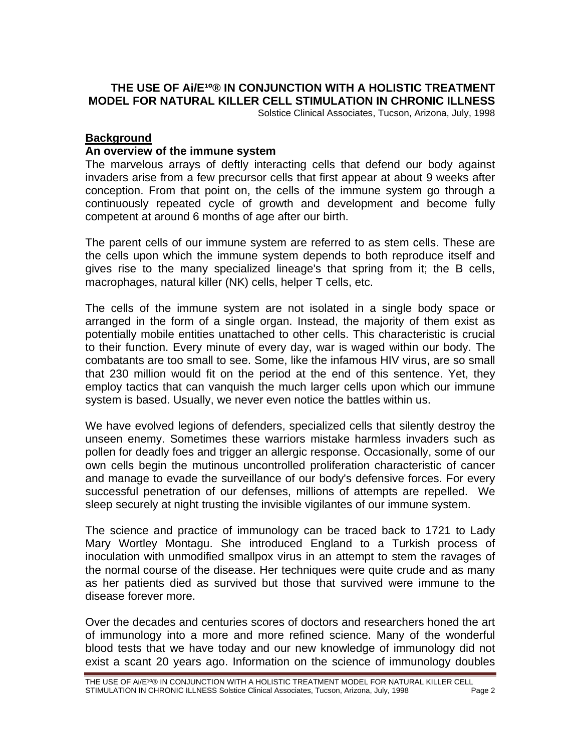# **THE USE OF AI/E<sup>10@</sup> IN CONJUNCTION WITH A HOLISTIC TREATMENT MODEL FOR NATURAL KILLER CELL STIMULATION IN CHRONIC ILLNESS**

Solstice Clinical Associates, Tucson, Arizona, July, 1998

#### **Background**

#### **An overview of the immune system**

The marvelous arrays of deftly interacting cells that defend our body against invaders arise from a few precursor cells that first appear at about 9 weeks after conception. From that point on, the cells of the immune system go through a continuously repeated cycle of growth and development and become fully competent at around 6 months of age after our birth.

The parent cells of our immune system are referred to as stem cells. These are the cells upon which the immune system depends to both reproduce itself and gives rise to the many specialized lineage's that spring from it; the B cells, macrophages, natural killer (NK) cells, helper T cells, etc.

The cells of the immune system are not isolated in a single body space or arranged in the form of a single organ. Instead, the majority of them exist as potentially mobile entities unattached to other cells. This characteristic is crucial to their function. Every minute of every day, war is waged within our body. The combatants are too small to see. Some, like the infamous HIV virus, are so small that 230 million would fit on the period at the end of this sentence. Yet, they employ tactics that can vanquish the much larger cells upon which our immune system is based. Usually, we never even notice the battles within us.

We have evolved legions of defenders, specialized cells that silently destroy the unseen enemy. Sometimes these warriors mistake harmless invaders such as pollen for deadly foes and trigger an allergic response. Occasionally, some of our own cells begin the mutinous uncontrolled proliferation characteristic of cancer and manage to evade the surveillance of our body's defensive forces. For every successful penetration of our defenses, millions of attempts are repelled. We sleep securely at night trusting the invisible vigilantes of our immune system.

The science and practice of immunology can be traced back to 1721 to Lady Mary Wortley Montagu. She introduced England to a Turkish process of inoculation with unmodified smallpox virus in an attempt to stem the ravages of the normal course of the disease. Her techniques were quite crude and as many as her patients died as survived but those that survived were immune to the disease forever more.

Over the decades and centuries scores of doctors and researchers honed the art of immunology into a more and more refined science. Many of the wonderful blood tests that we have today and our new knowledge of immunology did not exist a scant 20 years ago. Information on the science of immunology doubles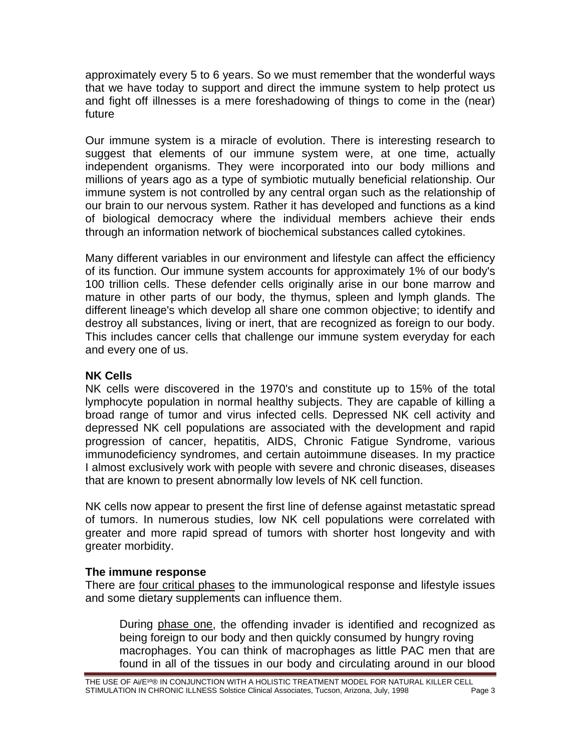approximately every 5 to 6 years. So we must remember that the wonderful ways that we have today to support and direct the immune system to help protect us and fight off illnesses is a mere foreshadowing of things to come in the (near) future

Our immune system is a miracle of evolution. There is interesting research to suggest that elements of our immune system were, at one time, actually independent organisms. They were incorporated into our body millions and millions of years ago as a type of symbiotic mutually beneficial relationship. Our immune system is not controlled by any central organ such as the relationship of our brain to our nervous system. Rather it has developed and functions as a kind of biological democracy where the individual members achieve their ends through an information network of biochemical substances called cytokines.

Many different variables in our environment and lifestyle can affect the efficiency of its function. Our immune system accounts for approximately 1% of our body's 100 trillion cells. These defender cells originally arise in our bone marrow and mature in other parts of our body, the thymus, spleen and lymph glands. The different lineage's which develop all share one common objective; to identify and destroy all substances, living or inert, that are recognized as foreign to our body. This includes cancer cells that challenge our immune system everyday for each and every one of us.

# **NK Cells**

NK cells were discovered in the 1970's and constitute up to 15% of the total lymphocyte population in normal healthy subjects. They are capable of killing a broad range of tumor and virus infected cells. Depressed NK cell activity and depressed NK cell populations are associated with the development and rapid progression of cancer, hepatitis, AIDS, Chronic Fatigue Syndrome, various immunodeficiency syndromes, and certain autoimmune diseases. In my practice I almost exclusively work with people with severe and chronic diseases, diseases that are known to present abnormally low levels of NK cell function.

NK cells now appear to present the first line of defense against metastatic spread of tumors. In numerous studies, low NK cell populations were correlated with greater and more rapid spread of tumors with shorter host longevity and with greater morbidity.

# **The immune response**

There are four critical phases to the immunological response and lifestyle issues and some dietary supplements can influence them.

During phase one, the offending invader is identified and recognized as being foreign to our body and then quickly consumed by hungry roving macrophages. You can think of macrophages as little PAC men that are found in all of the tissues in our body and circulating around in our blood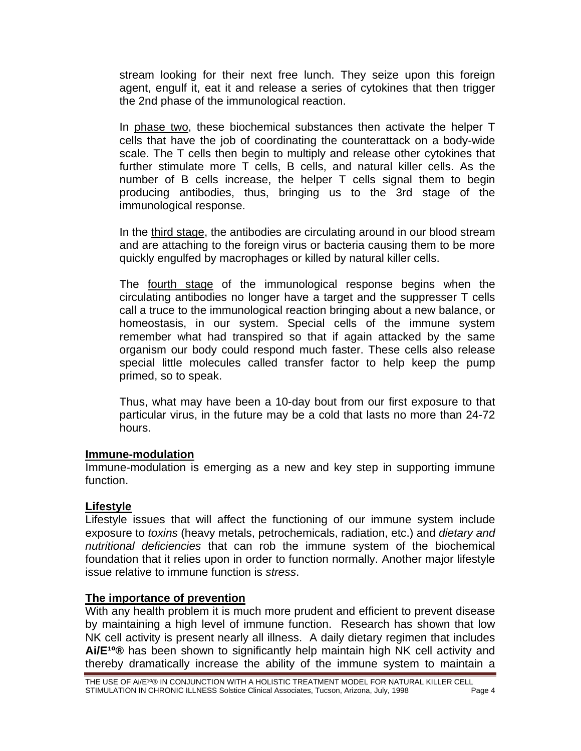stream looking for their next free lunch. They seize upon this foreign agent, engulf it, eat it and release a series of cytokines that then trigger the 2nd phase of the immunological reaction.

In phase two, these biochemical substances then activate the helper T cells that have the job of coordinating the counterattack on a body-wide scale. The T cells then begin to multiply and release other cytokines that further stimulate more T cells, B cells, and natural killer cells. As the number of B cells increase, the helper T cells signal them to begin producing antibodies, thus, bringing us to the 3rd stage of the immunological response.

In the third stage, the antibodies are circulating around in our blood stream and are attaching to the foreign virus or bacteria causing them to be more quickly engulfed by macrophages or killed by natural killer cells.

The fourth stage of the immunological response begins when the circulating antibodies no longer have a target and the suppresser T cells call a truce to the immunological reaction bringing about a new balance, or homeostasis, in our system. Special cells of the immune system remember what had transpired so that if again attacked by the same organism our body could respond much faster. These cells also release special little molecules called transfer factor to help keep the pump primed, so to speak.

Thus, what may have been a 10-day bout from our first exposure to that particular virus, in the future may be a cold that lasts no more than 24-72 hours.

#### **Immune-modulation**

Immune-modulation is emerging as a new and key step in supporting immune function.

#### **Lifestyle**

Lifestyle issues that will affect the functioning of our immune system include exposure to *toxins* (heavy metals, petrochemicals, radiation, etc.) and *dietary and nutritional deficiencies* that can rob the immune system of the biochemical foundation that it relies upon in order to function normally. Another major lifestyle issue relative to immune function is *stress*.

#### **The importance of prevention**

With any health problem it is much more prudent and efficient to prevent disease by maintaining a high level of immune function. Research has shown that low NK cell activity is present nearly all illness. A daily dietary regimen that includes Ai/E<sup>10</sup>® has been shown to significantly help maintain high NK cell activity and thereby dramatically increase the ability of the immune system to maintain a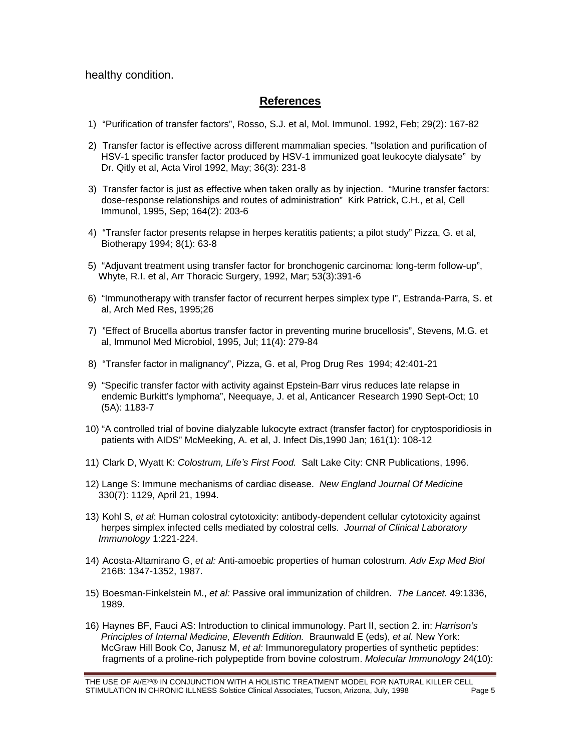healthy condition.

#### **References**

- 1) "Purification of transfer factors", Rosso, S.J. et al, Mol. Immunol. 1992, Feb; 29(2): 167-82
- 2) Transfer factor is effective across different mammalian species. "Isolation and purification of HSV-1 specific transfer factor produced by HSV-1 immunized goat leukocyte dialysate" by Dr. Qitly et al, Acta Virol 1992, May; 36(3): 231-8
- 3) Transfer factor is just as effective when taken orally as by injection. "Murine transfer factors: dose-response relationships and routes of administration" Kirk Patrick, C.H., et al, Cell Immunol, 1995, Sep; 164(2): 203-6
- 4) "Transfer factor presents relapse in herpes keratitis patients; a pilot study" Pizza, G. et al, Biotherapy 1994; 8(1): 63-8
- 5) "Adjuvant treatment using transfer factor for bronchogenic carcinoma: long-term follow-up", Whyte, R.I. et al, Arr Thoracic Surgery, 1992, Mar; 53(3):391-6
- 6) "Immunotherapy with transfer factor of recurrent herpes simplex type I", Estranda-Parra, S. et al, Arch Med Res, 1995;26
- 7) "Effect of Brucella abortus transfer factor in preventing murine brucellosis", Stevens, M.G. et al, Immunol Med Microbiol, 1995, Jul; 11(4): 279-84
- 8) "Transfer factor in malignancy", Pizza, G. et al, Prog Drug Res 1994; 42:401-21
- 9) "Specific transfer factor with activity against Epstein-Barr virus reduces late relapse in endemic Burkitt's lymphoma", Neequaye, J. et al, Anticancer Research 1990 Sept-Oct; 10 (5A): 1183-7
- 10) "A controlled trial of bovine dialyzable lukocyte extract (transfer factor) for cryptosporidiosis in patients with AIDS" McMeeking, A. et al, J. Infect Dis,1990 Jan; 161(1): 108-12
- 11) Clark D, Wyatt K: *Colostrum, Life's First Food.* Salt Lake City: CNR Publications, 1996.
- 12) Lange S: Immune mechanisms of cardiac disease. *New England Journal Of Medicine* 330(7): 1129, April 21, 1994.
- 13) Kohl S, *et al*: Human colostral cytotoxicity: antibody-dependent cellular cytotoxicity against herpes simplex infected cells mediated by colostral cells. *Journal of Clinical Laboratory Immunology* 1:221-224.
- 14) Acosta-Altamirano G, *et al:* Anti-amoebic properties of human colostrum. *Adv Exp Med Biol*  216B: 1347-1352, 1987.
- 15) Boesman-Finkelstein M., *et al:* Passive oral immunization of children. *The Lancet.* 49:1336, 1989.
- 16) Haynes BF, Fauci AS: Introduction to clinical immunology. Part II, section 2. in: *Harrison's Principles of Internal Medicine, Eleventh Edition.* Braunwald E (eds), *et al.* New York: McGraw Hill Book Co, Janusz M, *et al:* Immunoregulatory properties of synthetic peptides: fragments of a proline-rich polypeptide from bovine colostrum. *Molecular Immunology* 24(10):

THE USE OF Ai/E<sup>10</sup>® IN CONJUNCTION WITH A HOLISTIC TREATMENT MODEL FOR NATURAL KILLER CELL STIMULATION IN CHRONIC ILLNESS Solstice Clinical Associates, Tucson, Arizona, July, 1998 **Page 5**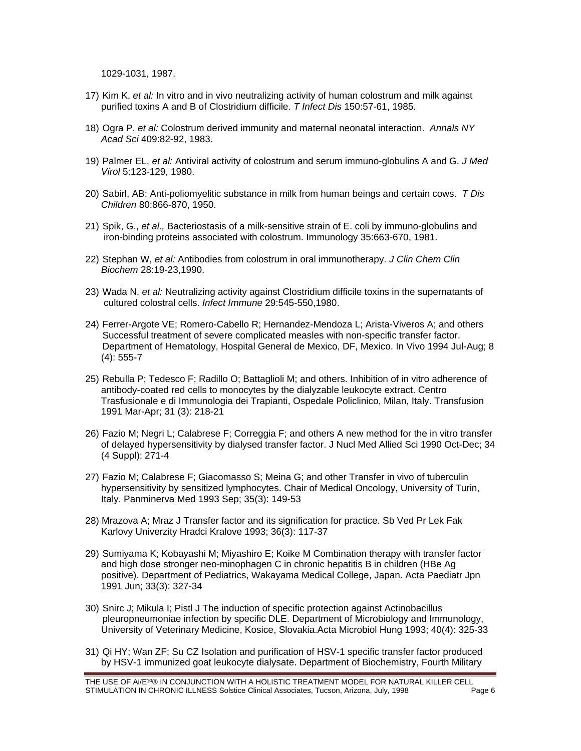1029-1031, 1987.

- 17) Kim K, *et al:* In vitro and in vivo neutralizing activity of human colostrum and milk against purified toxins A and B of Clostridium difficile. *T Infect Dis* 150:57-61, 1985.
- 18) Ogra P, *et al:* Colostrum derived immunity and maternal neonatal interaction. *Annals NY Acad Sci* 409:82-92, 1983.
- 19) Palmer EL, *et al:* Antiviral activity of colostrum and serum immuno-globulins A and G. *J Med Virol* 5:123-129, 1980.
- 20) Sabirl, AB: Anti-poliomyelitic substance in milk from human beings and certain cows. *T Dis Children* 80:866-870, 1950.
- 21) Spik, G., *et al.,* Bacteriostasis of a milk-sensitive strain of E. coli by immuno-globulins and iron-binding proteins associated with colostrum. Immunology 35:663-670, 1981.
- 22) Stephan W, *et al:* Antibodies from colostrum in oral immunotherapy. *J Clin Chem Clin Biochem* 28:19-23,1990.
- 23) Wada N, *et al:* Neutralizing activity against Clostridium difficile toxins in the supernatants of cultured colostral cells. *Infect Immune* 29:545-550,1980.
- 24) Ferrer-Argote VE; Romero-Cabello R; Hernandez-Mendoza L; Arista-Viveros A; and others Successful treatment of severe complicated measles with non-specific transfer factor. Department of Hematology, Hospital General de Mexico, DF, Mexico. In Vivo 1994 Jul-Aug; 8 (4): 555-7
- 25) Rebulla P; Tedesco F; Radillo O; Battaglioli M; and others. Inhibition of in vitro adherence of antibody-coated red cells to monocytes by the dialyzable leukocyte extract. Centro Trasfusionale e di Immunologia dei Trapianti, Ospedale Policlinico, Milan, Italy. Transfusion 1991 Mar-Apr; 31 (3): 218-21
- 26) Fazio M; Negri L; Calabrese F; Correggia F; and others A new method for the in vitro transfer of delayed hypersensitivity by dialysed transfer factor. J Nucl Med Allied Sci 1990 Oct-Dec; 34 (4 Suppl): 271-4
- 27) Fazio M; Calabrese F; Giacomasso S; Meina G; and other Transfer in vivo of tuberculin hypersensitivity by sensitized lymphocytes. Chair of Medical Oncology, University of Turin, Italy. Panminerva Med 1993 Sep; 35(3): 149-53
- 28) Mrazova A; Mraz J Transfer factor and its signification for practice. Sb Ved Pr Lek Fak Karlovy Univerzity Hradci Kralove 1993; 36(3): 117-37
- 29) Sumiyama K; Kobayashi M; Miyashiro E; Koike M Combination therapy with transfer factor and high dose stronger neo-minophagen C in chronic hepatitis B in children (HBe Ag positive). Department of Pediatrics, Wakayama Medical College, Japan. Acta Paediatr Jpn 1991 Jun; 33(3): 327-34
- 30) Snirc J; Mikula I; Pistl J The induction of specific protection against Actinobacillus pleuropneumoniae infection by specific DLE. Department of Microbiology and Immunology, University of Veterinary Medicine, Kosice, Slovakia.Acta Microbiol Hung 1993; 40(4): 325-33
- 31) Qi HY; Wan ZF; Su CZ Isolation and purification of HSV-1 specific transfer factor produced by HSV-1 immunized goat leukocyte dialysate. Department of Biochemistry, Fourth Military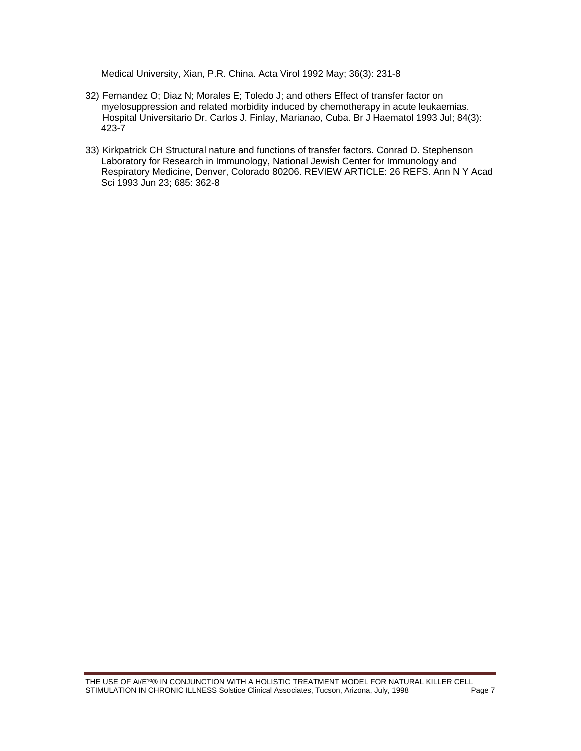Medical University, Xian, P.R. China. Acta Virol 1992 May; 36(3): 231-8

- 32) Fernandez O; Diaz N; Morales E; Toledo J; and others Effect of transfer factor on myelosuppression and related morbidity induced by chemotherapy in acute leukaemias. Hospital Universitario Dr. Carlos J. Finlay, Marianao, Cuba. Br J Haematol 1993 Jul; 84(3): 423-7
- 33) Kirkpatrick CH Structural nature and functions of transfer factors. Conrad D. Stephenson Laboratory for Research in Immunology, National Jewish Center for Immunology and Respiratory Medicine, Denver, Colorado 80206. REVIEW ARTICLE: 26 REFS. Ann N Y Acad Sci 1993 Jun 23; 685: 362-8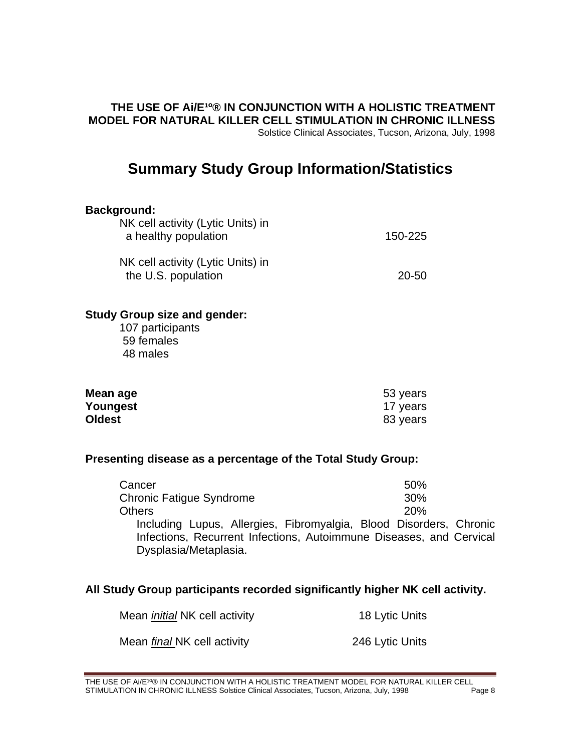#### **THE USE OF AI/E<sup>10</sup>® IN CONJUNCTION WITH A HOLISTIC TREATMENT MODEL FOR NATURAL KILLER CELL STIMULATION IN CHRONIC ILLNESS**  Solstice Clinical Associates, Tucson, Arizona, July, 1998

# **Summary Study Group Information/Statistics**

#### **Background:**

| NK cell activity (Lytic Units) in<br>a healthy population | 150-225 |
|-----------------------------------------------------------|---------|
| NK cell activity (Lytic Units) in<br>the U.S. population  | 20-50   |

#### **Study Group size and gender:**

107 participants 59 females 48 males

| Mean age      | 53 years |
|---------------|----------|
| Youngest      | 17 years |
| <b>Oldest</b> | 83 years |

#### **Presenting disease as a percentage of the Total Study Group:**

| Cancer                                                              | 50%        |
|---------------------------------------------------------------------|------------|
| <b>Chronic Fatique Syndrome</b>                                     | 30%        |
| Others                                                              | <b>20%</b> |
| Including Lupus, Allergies, Fibromyalgia, Blood Disorders, Chronic  |            |
| Infections, Recurrent Infections, Autoimmune Diseases, and Cervical |            |
| Dysplasia/Metaplasia.                                               |            |

# **All Study Group participants recorded significantly higher NK cell activity.**

| Mean <i>initial</i> NK cell activity | 18 Lytic Units  |
|--------------------------------------|-----------------|
| Mean <i>final</i> NK cell activity   | 246 Lytic Units |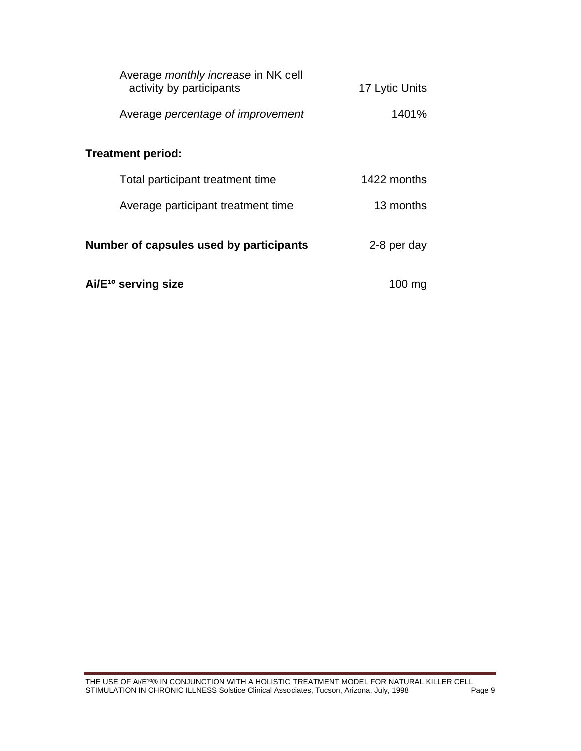| Average <i>monthly increase</i> in NK cell<br>activity by participants | 17 Lytic Units |  |  |  |  |  |  |  |  |  |
|------------------------------------------------------------------------|----------------|--|--|--|--|--|--|--|--|--|
| Average percentage of improvement                                      | 1401%          |  |  |  |  |  |  |  |  |  |
| <b>Treatment period:</b>                                               |                |  |  |  |  |  |  |  |  |  |
| Total participant treatment time                                       | 1422 months    |  |  |  |  |  |  |  |  |  |
| Average participant treatment time                                     | 13 months      |  |  |  |  |  |  |  |  |  |
| Number of capsules used by participants                                | 2-8 per day    |  |  |  |  |  |  |  |  |  |
| Ai/E <sup>10</sup> serving size                                        | 100 ma         |  |  |  |  |  |  |  |  |  |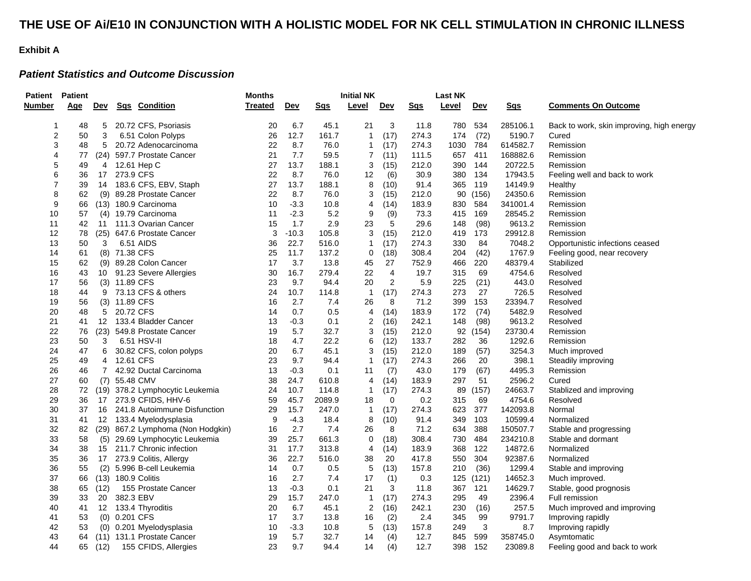#### **THE USE OF Ai/E10 IN CONJUNCTION WITH A HOLISTIC MODEL FOR NK CELL STIMULATION IN CHRONIC ILLNESS**

#### **Exhibit A**

#### *Patient Statistics and Outcome Discussion*

| Patient<br><b>Patient</b> |     |                 |               |                                   | Months  |            | <b>Initial NK</b> |                |                | Last NK    |       |            |            |                                           |
|---------------------------|-----|-----------------|---------------|-----------------------------------|---------|------------|-------------------|----------------|----------------|------------|-------|------------|------------|-------------------------------------------|
| Number                    | Age | <u>Dev</u>      |               | Sqs Condition                     | Treated | <u>Dev</u> | <u>Sqs</u>        | Level          | <u>Dev</u>     | <u>Sas</u> | Level | <u>Dev</u> | <b>Sgs</b> | <b>Comments On Outcome</b>                |
| 1                         | 48  | 5               |               | 20.72 CFS, Psoriasis              | 20      | 6.7        | 45.1              | 21             | 3              | 11.8       | 780   | 534        | 285106.1   | Back to work, skin improving, high energy |
| $\overline{\mathbf{c}}$   | 50  | 3               |               | 6.51 Colon Polyps                 | 26      | 12.7       | 161.7             | $\mathbf{1}$   | (17)           | 274.3      | 174   | (72)       | 5190.7     | Cured                                     |
| 3                         | 48  | 5               |               | 20.72 Adenocarcinoma              | 22      | 8.7        | 76.0              | 1              | (17)           | 274.3      | 1030  | 784        | 614582.7   | Remission                                 |
| 4                         | 77  |                 |               | (24) 597.7 Prostate Cancer        | 21      | 7.7        | 59.5              | $\overline{7}$ | (11)           | 111.5      | 657   | 411        | 168882.6   | Remission                                 |
| 5                         | 49  | 4               |               | 12.61 Hep C                       | 27      | 13.7       | 188.1             | 3              | (15)           | 212.0      | 390   | 144        | 20722.5    | Remission                                 |
| 6                         | 36  |                 | 17 273.9 CFS  |                                   | 22      | 8.7        | 76.0              | 12             | (6)            | 30.9       | 380   | 134        | 17943.5    | Feeling well and back to work             |
| $\overline{7}$            | 39  |                 |               | 14 183.6 CFS, EBV, Staph          | 27      | 13.7       | 188.1             | 8              | (10)           | 91.4       | 365   | 119        | 14149.9    | Healthy                                   |
| 8                         | 62  |                 |               | (9) 89.28 Prostate Cancer         | 22      | 8.7        | 76.0              | 3              | (15)           | 212.0      | 90    | (156)      | 24350.6    | Remission                                 |
| 9                         | 66  |                 |               | (13) 180.9 Carcinoma              | 10      | $-3.3$     | 10.8              | 4              | (14)           | 183.9      | 830   | 584        | 341001.4   | Remission                                 |
| 10                        | 57  |                 |               | (4) 19.79 Carcinoma               | 11      | $-2.3$     | 5.2               | 9              | (9)            | 73.3       | 415   | 169        | 28545.2    | Remission                                 |
| 11                        | 42  |                 |               | 11 111.3 Ovarian Cancer           | 15      | 1.7        | 2.9               | 23             | 5              | 29.6       | 148   | (98)       | 9613.2     | Remission                                 |
| 12                        | 78  |                 |               | (25) 647.6 Prostate Cancer        | 3       | $-10.3$    | 105.8             | 3              | (15)           | 212.0      | 419   | 173        | 29912.8    | Remission                                 |
| 13                        | 50  | 3               |               | 6.51 AIDS                         | 36      | 22.7       | 516.0             | $\mathbf{1}$   | (17)           | 274.3      | 330   | 84         | 7048.2     | Opportunistic infections ceased           |
| 14                        | 61  |                 | (8) 71.38 CFS |                                   | 25      | 11.7       | 137.2             | 0              | (18)           | 308.4      | 204   | (42)       | 1767.9     | Feeling good, near recovery               |
| 15                        | 62  |                 |               | (9) 89.28 Colon Cancer            | 17      | 3.7        | 13.8              | 45             | 27             | 752.9      | 466   | 220        | 48379.4    | Stabilized                                |
| 16                        | 43  |                 |               | 10 91.23 Severe Allergies         | 30      | 16.7       | 279.4             | 22             | $\overline{4}$ | 19.7       | 315   | 69         | 4754.6     | Resolved                                  |
| 17                        | 56  |                 | (3) 11.89 CFS |                                   | 23      | 9.7        | 94.4              | 20             | $\overline{2}$ | 5.9        | 225   | (21)       | 443.0      | Resolved                                  |
| 18                        | 44  |                 |               | 9 73.13 CFS & others              | 24      | 10.7       | 114.8             | $\overline{1}$ | (17)           | 274.3      | 273   | 27         | 726.5      | Resolved                                  |
| 19                        | 56  |                 | (3) 11.89 CFS |                                   | 16      | 2.7        | 7.4               | 26             | 8              | 71.2       | 399   | 153        | 23394.7    | Resolved                                  |
| 20                        | 48  | 5               | 20.72 CFS     |                                   | 14      | 0.7        | 0.5               | 4              | (14)           | 183.9      | 172   | (74)       | 5482.9     | Resolved                                  |
| 21                        | 41  |                 |               | 12 133.4 Bladder Cancer           | 13      | $-0.3$     | 0.1               | 2              | (16)           | 242.1      | 148   | (98)       | 9613.2     | Resolved                                  |
| 22                        | 76  |                 |               | (23) 549.8 Prostate Cancer        | 19      | 5.7        | 32.7              | 3              | (15)           | 212.0      | 92    | (154)      | 23730.4    | Remission                                 |
| 23                        | 50  | 3               |               | 6.51 HSV-II                       | 18      | 4.7        | 22.2              | 6              | (12)           | 133.7      | 282   | 36         | 1292.6     | Remission                                 |
| 24                        | 47  | 6               |               | 30.82 CFS, colon polyps           | 20      | 6.7        | 45.1              | 3              | (15)           | 212.0      | 189   | (57)       | 3254.3     | Much improved                             |
| 25                        | 49  | 4               | 12.61 CFS     |                                   | 23      | 9.7        | 94.4              | $\mathbf{1}$   | (17)           | 274.3      | 266   | 20         | 398.1      | Steadily improving                        |
| 26                        | 46  | $7\overline{ }$ |               | 42.92 Ductal Carcinoma            | 13      | $-0.3$     | 0.1               | 11             | (7)            | 43.0       | 179   | (67)       | 4495.3     | Remission                                 |
| 27                        | 60  |                 | (7) 55.48 CMV |                                   | 38      | 24.7       | 610.8             | 4              | (14)           | 183.9      | 297   | 51         | 2596.2     | Cured                                     |
| 28                        | 72  |                 |               | (19) 378.2 Lymphocytic Leukemia   | 24      | 10.7       | 114.8             | $\mathbf{1}$   | (17)           | 274.3      | 89    | (157)      | 24663.7    | Stablized and improving                   |
| 29                        | 36  |                 |               | 17 273.9 CFIDS, HHV-6             | 59      | 45.7       | 2089.9            | 18             | $\mathbf 0$    | 0.2        | 315   | 69         | 4754.6     | Resolved                                  |
| 30                        | 37  |                 |               | 16 241.8 Autoimmune Disfunction   | 29      | 15.7       | 247.0             | $\mathbf{1}$   | (17)           | 274.3      | 623   | 377        | 142093.8   | Normal                                    |
| 31                        | 41  |                 |               | 12 133.4 Myelodysplasia           | 9       | $-4.3$     | 18.4              | 8              | (10)           | 91.4       | 349   | 103        | 10599.4    | Normalized                                |
| 32                        | 82  |                 |               | (29) 867.2 Lymphoma (Non Hodgkin) | 16      | 2.7        | 7.4               | 26             | 8              | 71.2       | 634   | 388        | 150507.7   | Stable and progressing                    |
| 33                        | 58  |                 |               | (5) 29.69 Lymphocytic Leukemia    | 39      | 25.7       | 661.3             | $\mathbf 0$    | (18)           | 308.4      | 730   | 484        | 234210.8   | Stable and dormant                        |
| 34                        | 38  |                 |               | 15 211.7 Chronic infection        | 31      | 17.7       | 313.8             | 4              | (14)           | 183.9      | 368   | 122        | 14872.6    | Normalized                                |
| 35                        | 36  | 17 <sup>7</sup> |               | 273.9 Colitis, Allergy            | 36      | 22.7       | 516.0             | 38             | 20             | 417.8      | 550   | 304        | 92387.6    | Normalized                                |
| 36                        | 55  |                 |               | (2) 5.996 B-cell Leukemia         | 14      | 0.7        | 0.5               | 5              | (13)           | 157.8      | 210   | (36)       | 1299.4     | Stable and improving                      |
| 37                        | 66  |                 |               | (13) 180.9 Colitis                | 16      | 2.7        | 7.4               | 17             | (1)            | 0.3        | 125   | (121)      | 14652.3    | Much improved.                            |
| 38                        | 65  | (12)            |               | 155 Prostate Cancer               | 13      | $-0.3$     | 0.1               | 21             | 3              | 11.8       | 367   | 121        | 14629.7    | Stable, good prognosis                    |
| 39                        | 33  | 20              | 382.3 EBV     |                                   | 29      | 15.7       | 247.0             | $\mathbf{1}$   | (17)           | 274.3      | 295   | 49         | 2396.4     | Full remission                            |
| 40                        | 41  |                 |               | 12 133.4 Thyroditis               | 20      | 6.7        | 45.1              | $\overline{2}$ | (16)           | 242.1      | 230   | (16)       | 257.5      | Much improved and improving               |
| 41                        | 53  |                 | (0) 0.201 CFS |                                   | 17      | 3.7        | 13.8              | 16             | (2)            | 2.4        | 345   | 99         | 9791.7     | Improving rapidly                         |
| 42                        | 53  |                 |               | (0) 0.201 Myelodysplasia          | 10      | $-3.3$     | 10.8              | 5              | (13)           | 157.8      | 249   | 3          | 8.7        | Improving rapidly                         |
| 43                        | 64  |                 |               | (11) 131.1 Prostate Cancer        | 19      | 5.7        | 32.7              | 14             | (4)            | 12.7       | 845   | 599        | 358745.0   | Asymtomatic                               |
| 44                        | 65  | (12)            |               | 155 CFIDS, Allergies              | 23      | 9.7        | 94.4              | 14             | (4)            | 12.7       | 398   | 152        | 23089.8    | Feeling good and back to work             |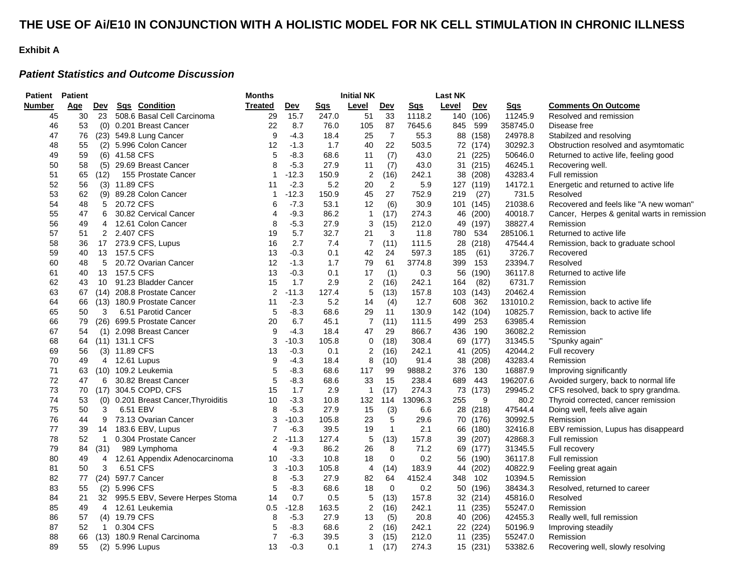### **THE USE OF Ai/E10 IN CONJUNCTION WITH A HOLISTIC MODEL FOR NK CELL STIMULATION IN CHRONIC ILLNESS**

#### **Exhibit A**

#### *Patient Statistics and Outcome Discussion*

| Patient       | <b>Patient</b> |                      |                |                                           | <b>Months</b>  |                   |               | <b>Initial NK</b>       |                   |               | <b>Last NK</b> |                   |                    |                                             |
|---------------|----------------|----------------------|----------------|-------------------------------------------|----------------|-------------------|---------------|-------------------------|-------------------|---------------|----------------|-------------------|--------------------|---------------------------------------------|
| <b>Number</b> | Age            | <u>Dev</u>           |                | Sqs Condition                             | Treated        | <u>Dev</u>        | <b>Sgs</b>    | <u>Level</u>            | <u>Dev</u>        | <u>Sqs</u>    | Level          | <u>Dev</u>        | <u>Sas</u>         | <b>Comments On Outcome</b>                  |
| 45            | 30             | 23                   |                | 508.6 Basal Cell Carcinoma                | 29             | 15.7              | 247.0         | 51                      | 33                | 1118.2        |                | 140 (106)         | 11245.9            | Resolved and remission                      |
| 46            | 53             |                      |                | (0) 0.201 Breast Cancer                   | 22             | 8.7               | 76.0          | 105                     | 87                | 7645.6        | 845            | 599               | 358745.0           | Disease free                                |
| 47            | 76             |                      |                | (23) 549.8 Lung Cancer                    | 9              | $-4.3$            | 18.4          | 25                      | $\overline{7}$    | 55.3          |                | 88 (158)          | 24978.8            | Stabilzed and resolving                     |
| 48            | 55             |                      |                | (2) 5.996 Colon Cancer                    | 12             | $-1.3$            | 1.7           | 40                      | 22                | 503.5         |                | 72 (174)          | 30292.3            | Obstruction resolved and asymtomatic        |
| 49            | 59             |                      | (6) 41.58 CFS  |                                           | 5              | $-8.3$            | 68.6          | 11                      | (7)               | 43.0          |                | 21 (225)          | 50646.0            | Returned to active life, feeling good       |
| 50            | 58             |                      |                | (5) 29.69 Breast Cancer                   | 8              | $-5.3$            | 27.9          | 11                      | (7)               | 43.0          |                | 31 (215)          | 46245.1            | Recovering well.                            |
| 51            | 65             | (12)                 |                | 155 Prostate Cancer                       | 1              | $-12.3$           | 150.9         | $\overline{\mathbf{c}}$ | (16)              | 242.1         | 38             | (208)             | 43283.4            | Full remission                              |
| 52            | 56             |                      | (3) 11.89 CFS  |                                           | 11             | $-2.3$            | 5.2           | 20                      | $\sqrt{2}$        | 5.9           |                | 127 (119)         | 14172.1            | Energetic and returned to active life       |
| 53            | 62             |                      |                | (9) 89.28 Colon Cancer                    | $\mathbf 1$    | $-12.3$           | 150.9         | 45                      | 27                | 752.9         | 219            | (27)              | 731.5              | Resolved                                    |
| 54            | 48             | 5                    | 20.72 CFS      |                                           | 6              | $-7.3$            | 53.1          | 12                      | (6)               | 30.9          |                | 101 (145)         | 21038.6            | Recovered and feels like "A new woman"      |
| 55            | 47             | 6                    |                | 30.82 Cervical Cancer                     | 4              | $-9.3$            | 86.2          | $\mathbf{1}$            | (17)              | 274.3         | 46             | (200)             | 40018.7            | Cancer, Herpes & genital warts in remission |
| 56            | 49             | 4                    |                | 12.61 Colon Cancer                        | 8              | $-5.3$            | 27.9          | 3                       | (15)              | 212.0         | 49             | (197)             | 38827.4            | Remission                                   |
| 57            | 51             | $\mathbf{2}$         | 2.407 CFS      |                                           | 19             | 5.7               | 32.7          | 21                      | 3                 | 11.8          | 780            | 534               | 285106.1           | Returned to active life                     |
| 58            | 36             |                      |                | 17 273.9 CFS, Lupus                       | 16             | 2.7               | 7.4           | $\overline{7}$          | (11)              | 111.5         | 28             | (218)             | 47544.4            | Remission, back to graduate school          |
| 59            | 40             |                      | 13 157.5 CFS   |                                           | 13             | $-0.3$            | 0.1           | 42                      | 24                | 597.3         | 185            | (61)              | 3726.7             | Recovered                                   |
| 60            | 48             | 5                    |                | 20.72 Ovarian Cancer                      | 12             | $-1.3$            | 1.7           | 79                      | 61                | 3774.8        | 399            | 153               | 23394.7            | Resolved                                    |
| 61            | 40             |                      | 13 157.5 CFS   |                                           | 13             | $-0.3$            | 0.1           | 17                      | (1)               | 0.3           | 56             | (190)             | 36117.8            | Returned to active life                     |
| 62            | 43             | 10                   |                | 91.23 Bladder Cancer                      | 15             | 1.7               | 2.9           | $\boldsymbol{2}$        | (16)              | 242.1         | 164            | (82)              | 6731.7             | Remission                                   |
| 63            | 67             |                      |                | (14) 208.8 Prostate Cancer                | 2              | $-11.3$           | 127.4         | 5                       | (13)              | 157.8         |                | 103 (143)         | 20462.4            | Remission                                   |
| 64            | 66             |                      |                | (13) 180.9 Prostate Cancer                | 11             | $-2.3$            | 5.2           | 14                      | (4)               | 12.7          | 608            | 362               | 131010.2           | Remission, back to active life              |
| 65            | 50             | 3                    |                | 6.51 Parotid Cancer                       | 5              | $-8.3$            | 68.6          | 29                      | 11                | 130.9         | 142            | (104)             | 10825.7            | Remission, back to active life              |
| 66            | 79             |                      |                | (26) 699.5 Prostate Cancer                | 20             | 6.7               | 45.1          | $\overline{7}$          | (11)              | 111.5         | 499            | 253               | 63985.4            | Remission                                   |
| 67            | 54             |                      |                | (1) 2.098 Breast Cancer                   | 9              | $-4.3$            | 18.4          | 47                      | 29                | 866.7         | 436            | 190               | 36082.2            | Remission                                   |
| 68            | 64             |                      | (11) 131.1 CFS |                                           | 3              | $-10.3$           | 105.8         | 0                       | (18)              | 308.4         | 69             | (177)             | 31345.5            | "Spunky again"                              |
| 69            | 56             |                      | (3) 11.89 CFS  |                                           | 13             | $-0.3$            | 0.1           | $\overline{\mathbf{c}}$ | (16)              | 242.1         | 41             | (205)             | 42044.2            | Full recovery                               |
| 70            | 49             |                      |                | 4 12.61 Lupus                             | 9              | $-4.3$            | 18.4          | 8                       | (10)              | 91.4          | 38             | (208)             | 43283.4            | Remission                                   |
| 71            | 63             |                      |                | (10) 109.2 Leukemia                       | 5              | $-8.3$            | 68.6          | 117                     | 99                | 9888.2        | 376            | 130               | 16887.9            | Improving significantly                     |
| 72            | 47             | 6                    |                | 30.82 Breast Cancer                       | 5              | $-8.3$            | 68.6          | 33                      | 15                | 238.4         | 689            | 443               | 196207.6           | Avoided surgery, back to normal life        |
| 73            | 70             |                      |                | (17) 304.5 COPD, CFS                      | 15             | 1.7               | 2.9           | 1                       | (17)              | 274.3         |                | 73 (173)          | 29945.2            | CFS resolved, back to spry grandma.         |
| 74            | 53             |                      |                | (0) 0.201 Breast Cancer, Thyroiditis      | 10             | $-3.3$            | 10.8          | 132                     | 114               | 13096.3       | 255            | 9                 | 80.2               | Thyroid corrected, cancer remission         |
| 75<br>76      | 50             | 3<br>9               |                | 6.51 EBV                                  | 8<br>3         | $-5.3$<br>$-10.3$ | 27.9          | 15<br>23                | (3)               | 6.6<br>29.6   |                | 28 (218)          | 47544.4<br>30992.5 | Doing well, feels alive again               |
| 77            | 44<br>39       |                      |                | 73.13 Ovarian Cancer<br>183.6 EBV, Lupus  | 7              | $-6.3$            | 105.8<br>39.5 | 19                      | 5<br>$\mathbf{1}$ | 2.1           | 70<br>66       | (176)<br>(180)    |                    | Remission                                   |
| 78            | 52             | 14                   |                |                                           | 2              |                   |               |                         | (13)              |               |                |                   | 32416.8<br>42868.3 | EBV remission, Lupus has disappeard         |
| 79            | 84             | $\mathbf{1}$<br>(31) |                | 0.304 Prostate Cancer                     | 4              | $-11.3$<br>$-9.3$ | 127.4<br>86.2 | 5<br>26                 | 8                 | 157.8<br>71.2 | 39             | (207)             | 31345.5            | Full remission                              |
| 80            | 49             | 4                    |                | 989 Lymphoma                              | 10             | $-3.3$            | 10.8          | 18                      | 0                 | 0.2           | 56             | 69 (177)<br>(190) | 36117.8            | Full recovery<br><b>Full remission</b>      |
| 81            | 50             | 3                    |                | 12.61 Appendix Adenocarcinoma<br>6.51 CFS | 3              | $-10.3$           | 105.8         | 4                       | (14)              | 183.9         |                | (202)             | 40822.9            |                                             |
| 82            | 77             |                      |                | (24) 597.7 Cancer                         | 8              | $-5.3$            | 27.9          | 82                      | 64                | 4152.4        | 44<br>348      | 102               | 10394.5            | Feeling great again<br>Remission            |
| 83            | 55             |                      | (2) 5.996 CFS  |                                           | 5              | $-8.3$            | 68.6          | 18                      | $\mathbf 0$       | 0.2           | 50             | (196)             | 38434.3            | Resolved, returned to career                |
| 84            | 21             |                      |                | 32 995.5 EBV, Severe Herpes Stoma         | 14             | 0.7               | 0.5           | 5                       | (13)              | 157.8         | 32             | (214)             | 45816.0            | Resolved                                    |
| 85            | 49             |                      |                | 4 12.61 Leukemia                          | 0.5            | $-12.8$           | 163.5         | $\overline{2}$          | (16)              | 242.1         |                | 11 (235)          | 55247.0            | Remission                                   |
| 86            | 57             |                      | (4) 19.79 CFS  |                                           | 8              | $-5.3$            | 27.9          | 13                      | (5)               | 20.8          |                | 40 (206)          | 42455.3            |                                             |
| 87            | 52             | $\mathbf{1}$         | 0.304 CFS      |                                           | 5              | $-8.3$            | 68.6          | $\overline{\mathbf{c}}$ | (16)              | 242.1         | 22             | (224)             | 50196.9            | Really well, full remission                 |
| 88            | 66             |                      |                | (13) 180.9 Renal Carcinoma                | $\overline{7}$ | $-6.3$            | 39.5          | 3                       | (15)              | 212.0         |                | 11 (235)          | 55247.0            | Improving steadily<br>Remission             |
| 89            | 55             |                      |                |                                           | 13             | $-0.3$            | 0.1           | $\mathbf{1}$            |                   | 274.3         |                |                   |                    |                                             |
|               |                |                      |                | (2) 5.996 Lupus                           |                |                   |               |                         | (17)              |               |                | 15 (231)          | 53382.6            | Recovering well, slowly resolving           |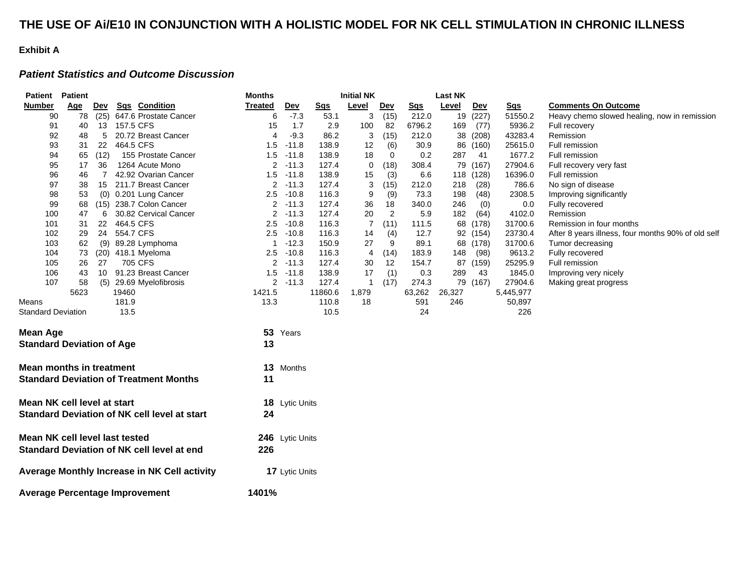### **THE USE OF Ai/E10 IN CONJUNCTION WITH A HOLISTIC MODEL FOR NK CELL STIMULATION IN CHRONIC ILLNESS**

#### **Exhibit A**

#### *Patient Statistics and Outcome Discussion*

| <b>Patient Patient</b>                |            |      |              | <b>Months</b>                                       |                | <b>Initial NK</b>     |                 |              | <b>Last NK</b> |            |        |            |                 |                                                    |
|---------------------------------------|------------|------|--------------|-----------------------------------------------------|----------------|-----------------------|-----------------|--------------|----------------|------------|--------|------------|-----------------|----------------------------------------------------|
| <b>Number</b>                         | <u>Age</u> | Dev  |              | Sqs Condition                                       | <b>Treated</b> | <b>Dev</b>            | S <sub>qs</sub> | <b>Level</b> | <b>Dev</b>     | <b>Sgs</b> | Level  | <b>Dev</b> | S <sub>qs</sub> | <b>Comments On Outcome</b>                         |
| 90                                    | 78         |      |              | (25) 647.6 Prostate Cancer                          | 6              | $-7.3$                | 53.1            | 3            | (15)           | 212.0      |        | 19 (227)   | 51550.2         | Heavy chemo slowed healing, now in remission       |
| 91                                    | 40         |      | 13 157.5 CFS |                                                     | 15             | 1.7                   | 2.9             | 100          | 82             | 6796.2     | 169    | (77)       | 5936.2          | Full recovery                                      |
| 92                                    | 48         | 5    |              | 20.72 Breast Cancer                                 | $\overline{4}$ | $-9.3$                | 86.2            | 3            | (15)           | 212.0      |        | 38 (208)   | 43283.4         | Remission                                          |
| 93                                    | 31         | 22   | 464.5 CFS    |                                                     | 1.5            | $-11.8$               | 138.9           | 12           | (6)            | 30.9       | 86     | (160)      | 25615.0         | Full remission                                     |
| 94                                    | 65         | (12) |              | 155 Prostate Cancer                                 | 1.5            | $-11.8$               | 138.9           | 18           | 0              | 0.2        | 287    | -41        | 1677.2          | Full remission                                     |
| 95                                    | 17         | 36   |              | 1264 Acute Mono                                     | $\overline{2}$ | $-11.3$               | 127.4           | 0            | (18)           | 308.4      | 79     | (167)      | 27904.6         | Full recovery very fast                            |
| 96                                    | 46         | 7    |              | 42.92 Ovarian Cancer                                | 1.5            | $-11.8$               | 138.9           | 15           | (3)            | 6.6        |        | 118 (128)  | 16396.0         | Full remission                                     |
| 97                                    | 38         | 15   |              | 211.7 Breast Cancer                                 | $\overline{2}$ | $-11.3$               | 127.4           | 3            | (15)           | 212.0      | 218    | (28)       | 786.6           | No sign of disease                                 |
| 98                                    | 53         |      |              | (0) 0.201 Lung Cancer                               | 2.5            | $-10.8$               | 116.3           | 9            | (9)            | 73.3       | 198    | (48)       | 2308.5          | Improving significantly                            |
| 99                                    | 68         | (15) |              | 238.7 Colon Cancer                                  | 2              | $-11.3$               | 127.4           | 36           | 18             | 340.0      | 246    | (0)        | 0.0             | Fully recovered                                    |
| 100                                   | 47         | 6    |              | 30.82 Cervical Cancer                               | 2              | $-11.3$               | 127.4           | 20           | 2              | 5.9        | 182    | (64)       | 4102.0          | Remission                                          |
| 101                                   | 31         | 22   | 464.5 CFS    |                                                     | 2.5            | $-10.8$               | 116.3           | 7            | (11)           | 111.5      |        | 68 (178)   | 31700.6         | Remission in four months                           |
| 102                                   | 29         | 24   | 554.7 CFS    |                                                     | 2.5            | $-10.8$               | 116.3           | 14           | (4)            | 12.7       |        | 92 (154)   | 23730.4         | After 8 years illness, four months 90% of old self |
| 103                                   | 62         | (9)  |              | 89.28 Lymphoma                                      |                | $-12.3$               | 150.9           | 27           | 9              | 89.1       |        | 68 (178)   | 31700.6         | Tumor decreasing                                   |
| 104                                   | 73         |      |              | (20) 418.1 Myeloma                                  | 2.5            | $-10.8$               | 116.3           | 4            | (14)           | 183.9      | 148    | (98)       | 9613.2          | Fully recovered                                    |
| 105                                   | 26         | 27   |              | 705 CFS                                             | 2              | $-11.3$               | 127.4           | 30           | 12             | 154.7      | 87     | (159)      | 25295.9         | Full remission                                     |
| 106                                   | 43         | 10   |              | 91.23 Breast Cancer                                 | 1.5            | $-11.8$               | 138.9           | 17           | (1)            | 0.3        | 289    | 43         | 1845.0          | Improving very nicely                              |
| 107                                   | 58         | (5)  |              | 29.69 Myelofibrosis                                 | $\overline{2}$ | $-11.3$               | 127.4           | $\mathbf 1$  | (17)           | 274.3      |        | 79 (167)   | 27904.6         | Making great progress                              |
|                                       | 5623       |      | 19460        |                                                     | 1421.5         |                       | 11860.6         | 1,879        |                | 63,262     | 26,327 |            | 5,445,977       |                                                    |
| Means                                 |            |      | 181.9        |                                                     | 13.3           |                       | 110.8           | 18           |                | 591        | 246    |            | 50,897          |                                                    |
| <b>Standard Deviation</b>             |            |      | 13.5         |                                                     |                |                       | 10.5            |              |                | 24         |        |            | 226             |                                                    |
|                                       |            |      |              |                                                     |                |                       |                 |              |                |            |        |            |                 |                                                    |
| <b>Mean Age</b>                       |            |      |              |                                                     |                | 53 Years              |                 |              |                |            |        |            |                 |                                                    |
| <b>Standard Deviation of Age</b>      |            |      |              |                                                     | 13             |                       |                 |              |                |            |        |            |                 |                                                    |
| <b>Mean months in treatment</b>       |            |      |              |                                                     |                | 13 Months             |                 |              |                |            |        |            |                 |                                                    |
|                                       |            |      |              |                                                     |                |                       |                 |              |                |            |        |            |                 |                                                    |
|                                       |            |      |              | <b>Standard Deviation of Treatment Months</b>       | 11             |                       |                 |              |                |            |        |            |                 |                                                    |
| Mean NK cell level at start           |            |      |              |                                                     |                | 18 Lytic Units        |                 |              |                |            |        |            |                 |                                                    |
|                                       |            |      |              |                                                     |                |                       |                 |              |                |            |        |            |                 |                                                    |
|                                       |            |      |              | <b>Standard Deviation of NK cell level at start</b> | 24             |                       |                 |              |                |            |        |            |                 |                                                    |
| Mean NK cell level last tested        |            |      |              |                                                     |                | 246 Lytic Units       |                 |              |                |            |        |            |                 |                                                    |
|                                       |            |      |              | Standard Deviation of NK cell level at end          | 226            |                       |                 |              |                |            |        |            |                 |                                                    |
|                                       |            |      |              |                                                     |                |                       |                 |              |                |            |        |            |                 |                                                    |
|                                       |            |      |              | Average Monthly Increase in NK Cell activity        |                | <b>17</b> Lytic Units |                 |              |                |            |        |            |                 |                                                    |
| <b>Average Percentage Improvement</b> |            |      |              |                                                     | 1401%          |                       |                 |              |                |            |        |            |                 |                                                    |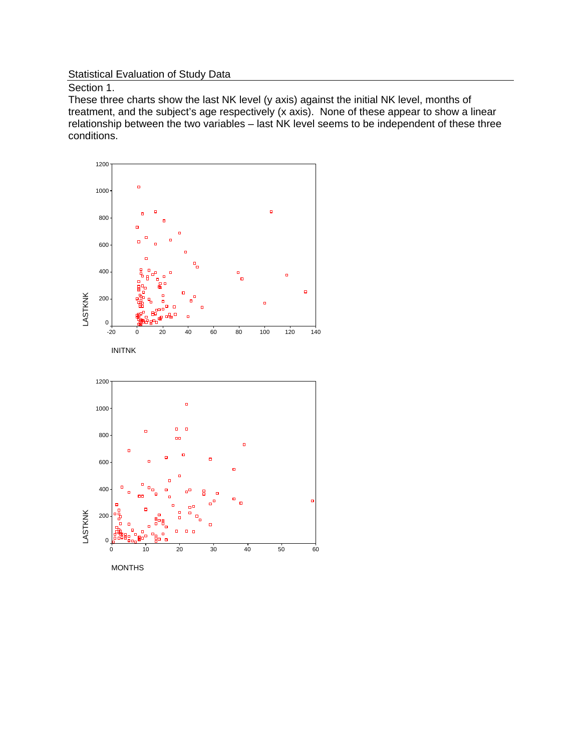### **Statistical Evaluation of Study Data**

Section 1.

These three charts show the last NK level (y axis) against the initial NK level, months of treatment, and the subject's age respectively (x axis). None of these appear to show a linear relationship between the two variables – last NK level seems to be independent of these three conditions.